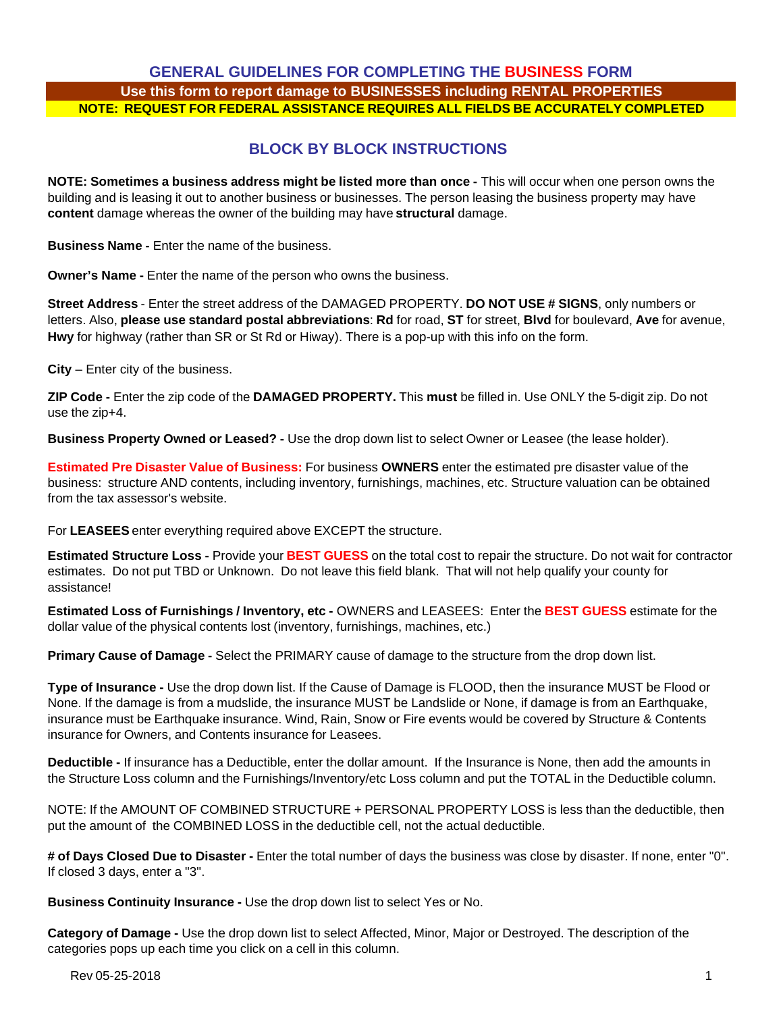## **GENERAL GUIDELINES FOR COMPLETING THE BUSINESS FORM Use this form to report damage to BUSINESSES including RENTAL PROPERTIES NOTE: REQUEST FOR FEDERAL ASSISTANCE REQUIRES ALL FIELDS BE ACCURATELY COMPLETED**

## **BLOCK BY BLOCK INSTRUCTIONS**

**NOTE: Sometimes a business address might be listed more than once -** This will occur when one person owns the building and is leasing it out to another business or businesses. The person leasing the business property may have **content** damage whereas the owner of the building may have **structural** damage.

**Business Name -** Enter the name of the business.

**Owner's Name -** Enter the name of the person who owns the business.

**Street Address** - Enter the street address of the DAMAGED PROPERTY. **DO NOT USE # SIGNS**, only numbers or letters. Also, **please use standard postal abbreviations**: **Rd** for road, **ST** for street, **Blvd** for boulevard, **Ave** for avenue, **Hwy** for highway (rather than SR or St Rd or Hiway). There is a pop-up with this info on the form.

**City** – Enter city of the business.

**ZIP Code -** Enter the zip code of the **DAMAGED PROPERTY.** This **must** be filled in. Use ONLY the 5-digit zip. Do not use the zip+4.

**Business Property Owned or Leased? -** Use the drop down list to select Owner or Leasee (the lease holder).

**Estimated Pre Disaster Value of Business:** For business **OWNERS** enter the estimated pre disaster value of the business: structure AND contents, including inventory, furnishings, machines, etc. Structure valuation can be obtained from the tax assessor's website.

For **LEASEES** enter everything required above EXCEPT the structure.

**Estimated Structure Loss -** Provide your **BEST GUESS** on the total cost to repair the structure. Do not wait for contractor estimates. Do not put TBD or Unknown. Do not leave this field blank. That will not help qualify your county for assistance!

**Estimated Loss of Furnishings / Inventory, etc -** OWNERS and LEASEES: Enter the **BEST GUESS** estimate for the dollar value of the physical contents lost (inventory, furnishings, machines, etc.)

**Primary Cause of Damage -** Select the PRIMARY cause of damage to the structure from the drop down list.

**Type of Insurance -** Use the drop down list. If the Cause of Damage is FLOOD, then the insurance MUST be Flood or None. If the damage is from a mudslide, the insurance MUST be Landslide or None, if damage is from an Earthquake, insurance must be Earthquake insurance. Wind, Rain, Snow or Fire events would be covered by Structure & Contents insurance for Owners, and Contents insurance for Leasees.

**Deductible -** If insurance has a Deductible, enter the dollar amount. If the Insurance is None, then add the amounts in the Structure Loss column and the Furnishings/Inventory/etc Loss column and put the TOTAL in the Deductible column.

NOTE: If the AMOUNT OF COMBINED STRUCTURE + PERSONAL PROPERTY LOSS is less than the deductible, then put the amount of the COMBINED LOSS in the deductible cell, not the actual deductible.

**# of Days Closed Due to Disaster -** Enter the total number of days the business was close by disaster. If none, enter "0". If closed 3 days, enter a "3".

**Business Continuity Insurance -** Use the drop down list to select Yes or No.

**Category of Damage -** Use the drop down list to select Affected, Minor, Major or Destroyed. The description of the categories pops up each time you click on a cell in this column.